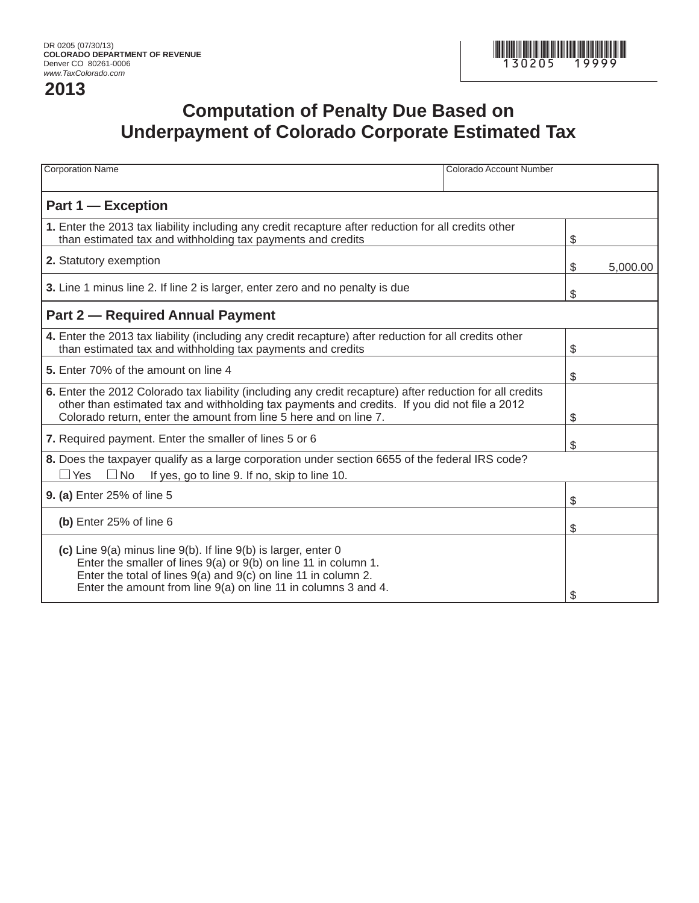## **2013**



## **Computation of Penalty Due Based on Underpayment of Colorado Corporate Estimated Tax**

| <b>Corporation Name</b>                                                                                                                                                                                                                                                         | Colorado Account Number |    |          |
|---------------------------------------------------------------------------------------------------------------------------------------------------------------------------------------------------------------------------------------------------------------------------------|-------------------------|----|----------|
| Part 1 - Exception                                                                                                                                                                                                                                                              |                         |    |          |
| 1. Enter the 2013 tax liability including any credit recapture after reduction for all credits other<br>than estimated tax and withholding tax payments and credits                                                                                                             |                         | \$ |          |
| 2. Statutory exemption                                                                                                                                                                                                                                                          |                         | \$ | 5,000.00 |
| 3. Line 1 minus line 2. If line 2 is larger, enter zero and no penalty is due                                                                                                                                                                                                   |                         | \$ |          |
| <b>Part 2 – Required Annual Payment</b>                                                                                                                                                                                                                                         |                         |    |          |
| 4. Enter the 2013 tax liability (including any credit recapture) after reduction for all credits other<br>than estimated tax and withholding tax payments and credits                                                                                                           |                         | \$ |          |
| 5. Enter 70% of the amount on line 4                                                                                                                                                                                                                                            |                         | \$ |          |
| 6. Enter the 2012 Colorado tax liability (including any credit recapture) after reduction for all credits<br>other than estimated tax and withholding tax payments and credits. If you did not file a 2012<br>Colorado return, enter the amount from line 5 here and on line 7. |                         | \$ |          |
| 7. Required payment. Enter the smaller of lines 5 or 6                                                                                                                                                                                                                          |                         | \$ |          |
| 8. Does the taxpayer qualify as a large corporation under section 6655 of the federal IRS code?<br>$\square$ Yes $\square$ No<br>If yes, go to line 9. If no, skip to line 10.                                                                                                  |                         |    |          |
| 9. (a) Enter 25% of line 5                                                                                                                                                                                                                                                      |                         | \$ |          |
| (b) Enter 25% of line 6                                                                                                                                                                                                                                                         |                         | \$ |          |
| (c) Line 9(a) minus line 9(b). If line 9(b) is larger, enter 0<br>Enter the smaller of lines $9(a)$ or $9(b)$ on line 11 in column 1.<br>Enter the total of lines 9(a) and 9(c) on line 11 in column 2.<br>Enter the amount from line $9(a)$ on line 11 in columns 3 and 4.     |                         | \$ |          |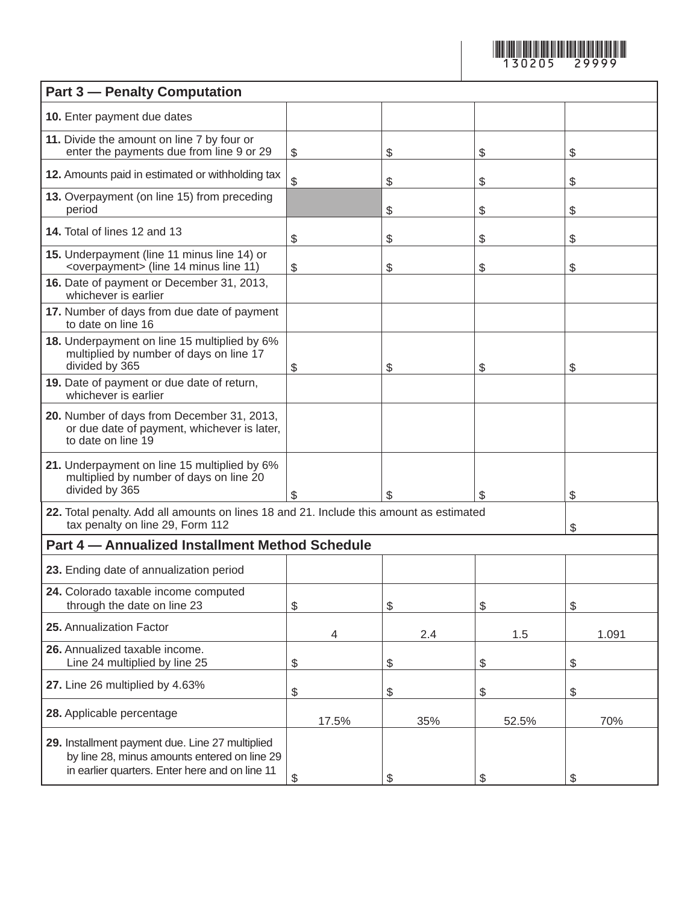

| <b>Part 3 - Penalty Computation</b>                                                                                                               |              |     |       |       |  |  |
|---------------------------------------------------------------------------------------------------------------------------------------------------|--------------|-----|-------|-------|--|--|
| 10. Enter payment due dates                                                                                                                       |              |     |       |       |  |  |
| 11. Divide the amount on line 7 by four or<br>enter the payments due from line 9 or 29                                                            | \$           | \$  | \$    | \$    |  |  |
| 12. Amounts paid in estimated or withholding tax                                                                                                  | $\mathbb{S}$ | \$  | \$    | \$    |  |  |
| 13. Overpayment (on line 15) from preceding<br>period                                                                                             |              | \$  | \$    | \$    |  |  |
| 14. Total of lines 12 and 13                                                                                                                      | \$           | \$  | \$    | \$    |  |  |
| 15. Underpayment (line 11 minus line 14) or<br><overpayment> (line 14 minus line 11)</overpayment>                                                | \$           | \$  | \$    | \$    |  |  |
| 16. Date of payment or December 31, 2013,<br>whichever is earlier                                                                                 |              |     |       |       |  |  |
| 17. Number of days from due date of payment<br>to date on line 16                                                                                 |              |     |       |       |  |  |
| 18. Underpayment on line 15 multiplied by 6%<br>multiplied by number of days on line 17<br>divided by 365                                         | \$           | \$  | \$    | \$    |  |  |
| 19. Date of payment or due date of return,<br>whichever is earlier                                                                                |              |     |       |       |  |  |
| 20. Number of days from December 31, 2013,<br>or due date of payment, whichever is later,<br>to date on line 19                                   |              |     |       |       |  |  |
| 21. Underpayment on line 15 multiplied by 6%<br>multiplied by number of days on line 20<br>divided by 365                                         | \$           | \$  | \$    | \$    |  |  |
| 22. Total penalty. Add all amounts on lines 18 and 21. Include this amount as estimated<br>tax penalty on line 29, Form 112                       | \$           |     |       |       |  |  |
| Part 4 - Annualized Installment Method Schedule                                                                                                   |              |     |       |       |  |  |
| 23. Ending date of annualization period                                                                                                           |              |     |       |       |  |  |
| 24. Colorado taxable income computed<br>through the date on line 23                                                                               | \$           | \$  | \$    | \$    |  |  |
| 25. Annualization Factor                                                                                                                          | 4            | 2.4 | 1.5   | 1.091 |  |  |
| 26. Annualized taxable income.<br>Line 24 multiplied by line 25                                                                                   | \$           | \$  | \$    | \$    |  |  |
| 27. Line 26 multiplied by 4.63%                                                                                                                   | \$           | \$  | \$    | \$    |  |  |
| 28. Applicable percentage                                                                                                                         | 17.5%        | 35% | 52.5% | 70%   |  |  |
| 29. Installment payment due. Line 27 multiplied<br>by line 28, minus amounts entered on line 29<br>in earlier quarters. Enter here and on line 11 | \$           | \$  | \$    | \$    |  |  |